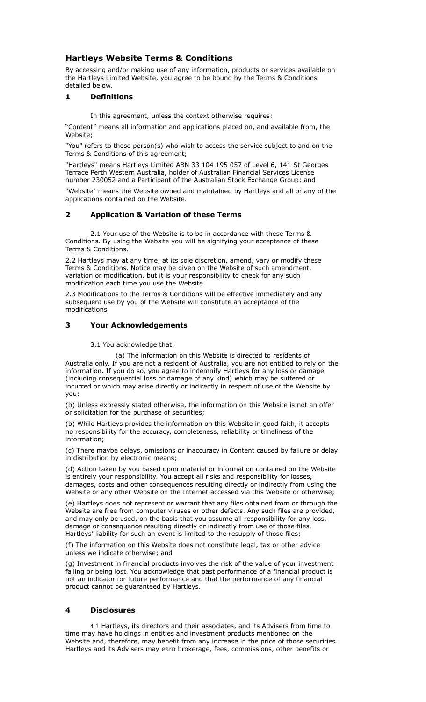# **Hartleys Website Terms & Conditions**

By accessing and/or making use of any information, products or services available on the Hartleys Limited Website, you agree to be bound by the Terms & Conditions detailed below.

## **1 Definitions**

In this agreement, unless the context otherwise requires:

"Content" means all information and applications placed on, and available from, the Website;

"You" refers to those person(s) who wish to access the service subject to and on the Terms & Conditions of this agreement;

"Hartleys" means Hartleys Limited ABN 33 104 195 057 of Level 6, 141 St Georges Terrace Perth Western Australia, holder of Australian Financial Services License number 230052 and a Participant of the Australian Stock Exchange Group; and

"Website" means the Website owned and maintained by Hartleys and all or any of the applications contained on the Website.

## **2 Application & Variation of these Terms**

 2.1 Your use of the Website is to be in accordance with these Terms & Conditions. By using the Website you will be signifying your acceptance of these Terms & Conditions.

2.2 Hartleys may at any time, at its sole discretion, amend, vary or modify these Terms & Conditions. Notice may be given on the Website of such amendment, variation or modification, but it is your responsibility to check for any such modification each time you use the Website.

2.3 Modifications to the Terms & Conditions will be effective immediately and any subsequent use by you of the Website will constitute an acceptance of the modifications.

## **3 Your Acknowledgements**

3.1 You acknowledge that:

 (a) The information on this Website is directed to residents of Australia only. If you are not a resident of Australia, you are not entitled to rely on the information. If you do so, you agree to indemnify Hartleys for any loss or damage (including consequential loss or damage of any kind) which may be suffered or incurred or which may arise directly or indirectly in respect of use of the Website by you;

(b) Unless expressly stated otherwise, the information on this Website is not an offer or solicitation for the purchase of securities;

(b) While Hartleys provides the information on this Website in good faith, it accepts no responsibility for the accuracy, completeness, reliability or timeliness of the information;

(c) There maybe delays, omissions or inaccuracy in Content caused by failure or delay in distribution by electronic means;

(d) Action taken by you based upon material or information contained on the Website is entirely your responsibility. You accept all risks and responsibility for losses, damages, costs and other consequences resulting directly or indirectly from using the Website or any other Website on the Internet accessed via this Website or otherwise;

(e) Hartleys does not represent or warrant that any files obtained from or through the Website are free from computer viruses or other defects. Any such files are provided, and may only be used, on the basis that you assume all responsibility for any loss, damage or consequence resulting directly or indirectly from use of those files. Hartleys' liability for such an event is limited to the resupply of those files;

(f) The information on this Website does not constitute legal, tax or other advice unless we indicate otherwise; and

(g) Investment in financial products involves the risk of the value of your investment falling or being lost. You acknowledge that past performance of a financial product is not an indicator for future performance and that the performance of any financial product cannot be guaranteed by Hartleys.

### **4 Disclosures**

 4.1 Hartleys, its directors and their associates, and its Advisers from time to time may have holdings in entities and investment products mentioned on the Website and, therefore, may benefit from any increase in the price of those securities. Hartleys and its Advisers may earn brokerage, fees, commissions, other benefits or